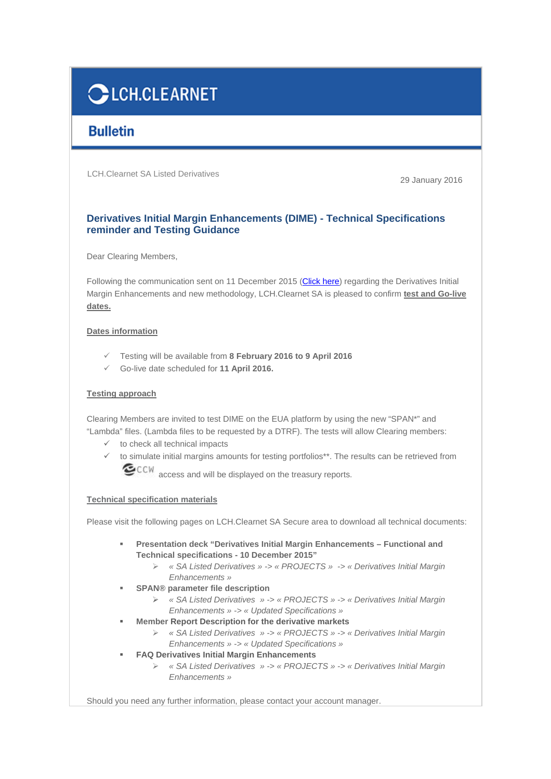# **CLCH.CLEARNET**

## **Bulletin**

LCH.Clearnet SA Listed Derivatives

29 January 2016

### **Derivatives Initial Margin Enhancements (DIME) - Technical Specifications reminder and Testing Guidance**

Dear Clearing Members,

Following the communication sent on 11 December 2015 (Click here) regarding the Derivatives Initial Margin Enhancements and new methodology, LCH.Clearnet SA is pleased to confirm **test and Go-live dates.**

#### **Dates information**

- Testing will be available from **8 February 2016 to 9 April 2016**
- Go-live date scheduled for **11 April 2016.**

#### **Testing approach**

Clearing Members are invited to test DIME on the EUA platform by using the new "SPAN\*" and "Lambda" files. (Lambda files to be requested by a DTRF). The tests will allow Clearing members:

- $\checkmark$  to check all technical impacts
- $\checkmark$  to simulate initial margins amounts for testing portfolios\*\*. The results can be retrieved from CCW access and will be displayed on the treasury reports.

#### **Technical specification materials**

Please visit the following pages on LCH.Clearnet SA Secure area to download all technical documents:

- - **Presentation deck "Derivatives Initial Margin Enhancements – Functional and Technical specifications - 10 December 2015"** 
	- « SA Listed Derivatives » -> « PROJECTS » -> « Derivatives Initial Margin Enhancements »
- - **SPAN® parameter file description** 
	- « SA Listed Derivatives » -> « PROJECTS » -> « Derivatives Initial Margin Enhancements » -> « Updated Specifications »
- - **Member Report Description for the derivative markets** 
	- « SA Listed Derivatives » -> « PROJECTS » -> « Derivatives Initial Margin Enhancements » -> « Updated Specifications »
- - **FAQ Derivatives Initial Margin Enhancements** 
	- « SA Listed Derivatives » -> « PROJECTS » -> « Derivatives Initial Margin Enhancements »

Should you need any further information, please contact your account manager.